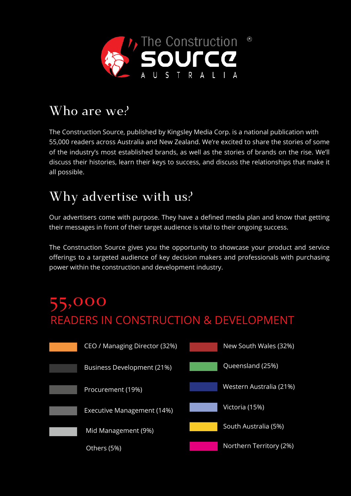

## **Who are we?**

The Construction Source, published by Kingsley Media Corp. is a national publication with 55,000 readers across Australia and New Zealand. We're excited to share the stories of some of the industry's most established brands, as well as the stories of brands on the rise. We'll discuss their histories, learn their keys to success, and discuss the relationships that make it all possible.

## **Why advertise with us?**

Our advertisers come with purpose. They have a defined media plan and know that getting their messages in front of their target audience is vital to their ongoing success.

The Construction Source gives you the opportunity to showcase your product and service offerings to a targeted audience of key decision makers and professionals with purchasing power within the construction and development industry.

# READERS IN CONSTRUCTION & DEVELOPMENT **55,000**